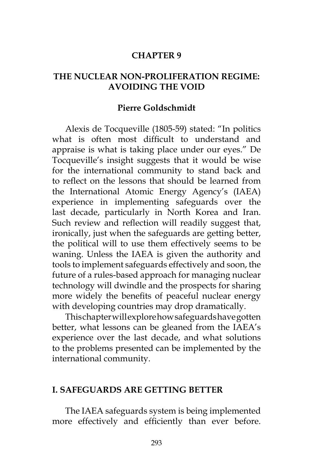#### **CHAPTER 9**

#### **THE NUCLEAR NON-PROLIFERATION REGIME: AVOIDING THE VOID**

#### **Pierre Goldschmidt**

Alexis de Tocqueville (1805-59) stated: "In politics what is often most difficult to understand and appraise is what is taking place under our eyes." De Tocqueville's insight suggests that it would be wise for the international community to stand back and to reflect on the lessons that should be learned from the International Atomic Energy Agency's (IAEA) experience in implementing safeguards over the last decade, particularly in North Korea and Iran. Such review and reflection will readily suggest that, ironically, just when the safeguards are getting better, the political will to use them effectively seems to be waning. Unless the IAEA is given the authority and tools to implement safeguards effectively and soon, the future of a rules-based approach for managing nuclear technology will dwindle and the prospects for sharing more widely the benefits of peaceful nuclear energy with developing countries may drop dramatically.

This chapter will explore how safeguards have gotten better, what lessons can be gleaned from the IAEA's experience over the last decade, and what solutions to the problems presented can be implemented by the international community.

#### **I. SAFEGUARDS ARE GETTING BETTER**

The IAEA safeguards system is being implemented more effectively and efficiently than ever before.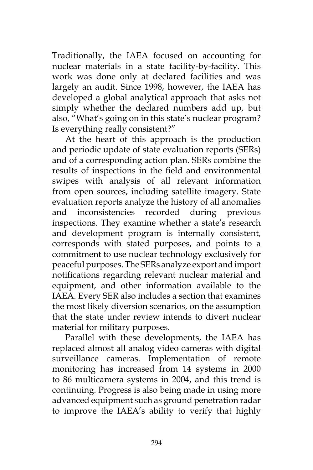Traditionally, the IAEA focused on accounting for nuclear materials in a state facility-by-facility. This work was done only at declared facilities and was largely an audit. Since 1998, however, the IAEA has developed a global analytical approach that asks not simply whether the declared numbers add up, but also, "What's going on in this state's nuclear program? Is everything really consistent?"

At the heart of this approach is the production and periodic update of state evaluation reports (SERs) and of a corresponding action plan. SERs combine the results of inspections in the field and environmental swipes with analysis of all relevant information from open sources, including satellite imagery. State evaluation reports analyze the history of all anomalies and inconsistencies recorded during previous inspections. They examine whether a state's research and development program is internally consistent, corresponds with stated purposes, and points to a commitment to use nuclear technology exclusively for peaceful purposes. The SERs analyze export and import notifications regarding relevant nuclear material and equipment, and other information available to the IAEA. Every SER also includes a section that examines the most likely diversion scenarios, on the assumption that the state under review intends to divert nuclear material for military purposes.

Parallel with these developments, the IAEA has replaced almost all analog video cameras with digital surveillance cameras. Implementation of remote monitoring has increased from 14 systems in 2000 to 86 multicamera systems in 2004, and this trend is continuing. Progress is also being made in using more advanced equipment such as ground penetration radar to improve the IAEA's ability to verify that highly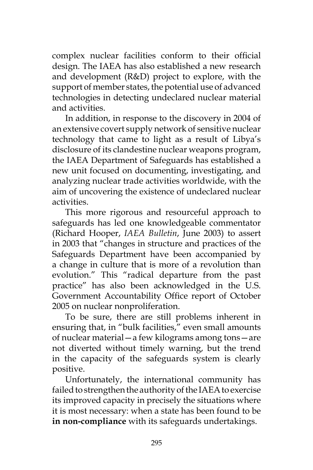complex nuclear facilities conform to their official design. The IAEA has also established a new research and development (R&D) project to explore, with the support of member states, the potential use of advanced technologies in detecting undeclared nuclear material and activities.

In addition, in response to the discovery in 2004 of an extensive covert supply network of sensitive nuclear technology that came to light as a result of Libya's disclosure of its clandestine nuclear weapons program, the IAEA Department of Safeguards has established a new unit focused on documenting, investigating, and analyzing nuclear trade activities worldwide, with the aim of uncovering the existence of undeclared nuclear activities.

This more rigorous and resourceful approach to safeguards has led one knowledgeable commentator (Richard Hooper, *IAEA Bulletin*, June 2003) to assert in 2003 that "changes in structure and practices of the Safeguards Department have been accompanied by a change in culture that is more of a revolution than evolution." This "radical departure from the past practice" has also been acknowledged in the U.S. Government Accountability Office report of October 2005 on nuclear nonproliferation.

To be sure, there are still problems inherent in ensuring that, in "bulk facilities," even small amounts of nuclear material—a few kilograms among tons—are not diverted without timely warning, but the trend in the capacity of the safeguards system is clearly positive.

Unfortunately, the international community has failed to strengthen the authority of the IAEA to exercise its improved capacity in precisely the situations where it is most necessary: when a state has been found to be **in non-compliance** with its safeguards undertakings.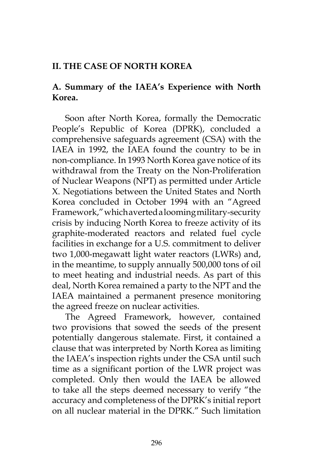## **II. THE CASE OF NORTH KOREA**

## **A. Summary of the IAEA's Experience with North Korea.**

Soon after North Korea, formally the Democratic People's Republic of Korea (DPRK), concluded a comprehensive safeguards agreement (CSA) with the IAEA in 1992, the IAEA found the country to be in non-compliance. In 1993 North Korea gave notice of its withdrawal from the Treaty on the Non-Proliferation of Nuclear Weapons (NPT) as permitted under Article X. Negotiations between the United States and North Korea concluded in October 1994 with an "Agreed Framework," which averted a looming military-security crisis by inducing North Korea to freeze activity of its graphite-moderated reactors and related fuel cycle facilities in exchange for a U.S. commitment to deliver two 1,000-megawatt light water reactors (LWRs) and, in the meantime, to supply annually 500,000 tons of oil to meet heating and industrial needs. As part of this deal, North Korea remained a party to the NPT and the IAEA maintained a permanent presence monitoring the agreed freeze on nuclear activities.

The Agreed Framework, however, contained two provisions that sowed the seeds of the present potentially dangerous stalemate. First, it contained a clause that was interpreted by North Korea as limiting the IAEA's inspection rights under the CSA until such time as a significant portion of the LWR project was completed. Only then would the IAEA be allowed to take all the steps deemed necessary to verify "the accuracy and completeness of the DPRK's initial report on all nuclear material in the DPRK." Such limitation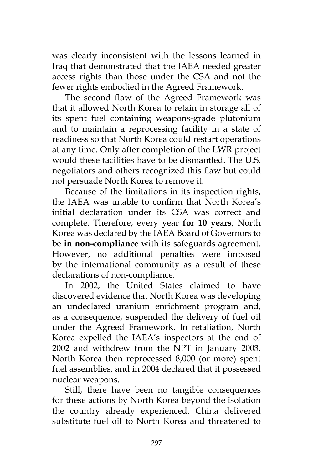was clearly inconsistent with the lessons learned in Iraq that demonstrated that the IAEA needed greater access rights than those under the CSA and not the fewer rights embodied in the Agreed Framework.

The second flaw of the Agreed Framework was that it allowed North Korea to retain in storage all of its spent fuel containing weapons-grade plutonium and to maintain a reprocessing facility in a state of readiness so that North Korea could restart operations at any time. Only after completion of the LWR project would these facilities have to be dismantled. The U.S. negotiators and others recognized this flaw but could not persuade North Korea to remove it.

Because of the limitations in its inspection rights, the IAEA was unable to confirm that North Korea's initial declaration under its CSA was correct and complete. Therefore, every year **for 10 years**, North Korea was declared by the IAEA Board of Governors to be **in non-compliance** with its safeguards agreement. However, no additional penalties were imposed by the international community as a result of these declarations of non-compliance.

In 2002, the United States claimed to have discovered evidence that North Korea was developing an undeclared uranium enrichment program and, as a consequence, suspended the delivery of fuel oil under the Agreed Framework. In retaliation, North Korea expelled the IAEA's inspectors at the end of 2002 and withdrew from the NPT in January 2003. North Korea then reprocessed 8,000 (or more) spent fuel assemblies, and in 2004 declared that it possessed nuclear weapons.

Still, there have been no tangible consequences for these actions by North Korea beyond the isolation the country already experienced. China delivered substitute fuel oil to North Korea and threatened to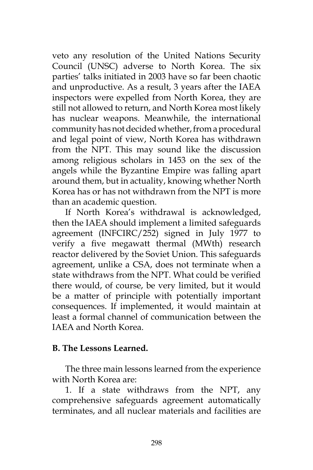veto any resolution of the United Nations Security Council (UNSC) adverse to North Korea. The six parties' talks initiated in 2003 have so far been chaotic and unproductive. As a result, 3 years after the IAEA inspectors were expelled from North Korea, they are still not allowed to return, and North Korea most likely has nuclear weapons. Meanwhile, the international community has not decided whether, from a procedural and legal point of view, North Korea has withdrawn from the NPT. This may sound like the discussion among religious scholars in 1453 on the sex of the angels while the Byzantine Empire was falling apart around them, but in actuality, knowing whether North Korea has or has not withdrawn from the NPT is more than an academic question.

If North Korea's withdrawal is acknowledged, then the IAEA should implement a limited safeguards agreement (INFCIRC/252) signed in July 1977 to verify a five megawatt thermal (MWth) research reactor delivered by the Soviet Union. This safeguards agreement, unlike a CSA, does not terminate when a state withdraws from the NPT. What could be verified there would, of course, be very limited, but it would be a matter of principle with potentially important consequences. If implemented, it would maintain at least a formal channel of communication between the IAEA and North Korea.

### **B. The Lessons Learned.**

The three main lessons learned from the experience with North Korea are:

1. If a state withdraws from the NPT, any comprehensive safeguards agreement automatically terminates, and all nuclear materials and facilities are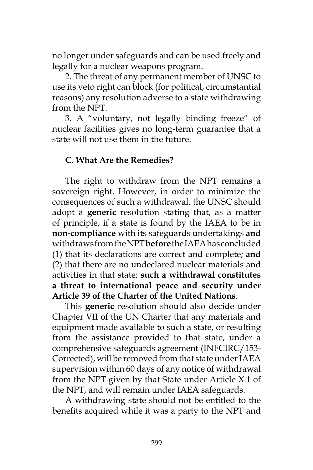no longer under safeguards and can be used freely and legally for a nuclear weapons program.

2. The threat of any permanent member of UNSC to use its veto right can block (for political, circumstantial reasons) any resolution adverse to a state withdrawing from the NPT.

3. A "voluntary, not legally binding freeze" of nuclear facilities gives no long-term guarantee that a state will not use them in the future.

# **C. What Are the Remedies?**

The right to withdraw from the NPT remains a sovereign right. However, in order to minimize the consequences of such a withdrawal, the UNSC should adopt a **generic** resolution stating that, as a matter of principle, if a state is found by the IAEA to be in **non-compliance** with its safeguards undertakings **and** withdraws from the NPT **before** the IAEA has concluded (1) that its declarations are correct and complete; **and** (2) that there are no undeclared nuclear materials and activities in that state; **such a withdrawal constitutes a threat to international peace and security under Article 39 of the Charter of the United Nations**.

This **generic** resolution should also decide under Chapter VII of the UN Charter that any materials and equipment made available to such a state, or resulting from the assistance provided to that state, under a comprehensive safeguards agreement (INFCIRC/153- Corrected), will be removed from that state under IAEA supervision within 60 days of any notice of withdrawal from the NPT given by that State under Article X.1 of the NPT, and will remain under IAEA safeguards.

A withdrawing state should not be entitled to the benefits acquired while it was a party to the NPT and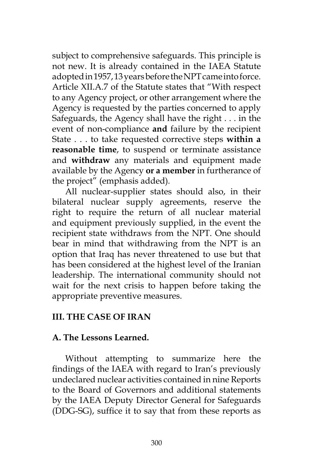subject to comprehensive safeguards. This principle is not new. It is already contained in the IAEA Statute adopted in 1957, 13 years before the NPT came into force. Article XII.A.7 of the Statute states that "With respect to any Agency project, or other arrangement where the Agency is requested by the parties concerned to apply Safeguards, the Agency shall have the right . . . in the event of non-compliance **and** failure by the recipient State . . . to take requested corrective steps **within a reasonable time**, to suspend or terminate assistance and **withdraw** any materials and equipment made available by the Agency **or a member** in furtherance of the project" (emphasis added)*.*

All nuclear-supplier states should also, in their bilateral nuclear supply agreements, reserve the right to require the return of all nuclear material and equipment previously supplied, in the event the recipient state withdraws from the NPT. One should bear in mind that withdrawing from the NPT is an option that Iraq has never threatened to use but that has been considered at the highest level of the Iranian leadership. The international community should not wait for the next crisis to happen before taking the appropriate preventive measures.

# **III. THE CASE OF IRAN**

### **A. The Lessons Learned.**

Without attempting to summarize here the findings of the IAEA with regard to Iran's previously undeclared nuclear activities contained in nine Reports to the Board of Governors and additional statements by the IAEA Deputy Director General for Safeguards (DDG-SG), suffice it to say that from these reports as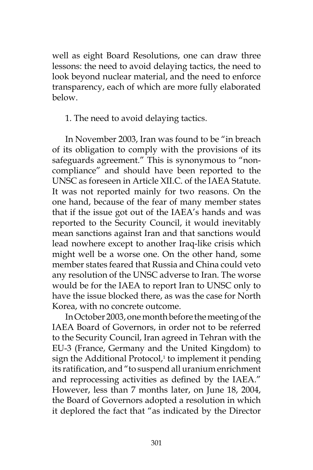well as eight Board Resolutions, one can draw three lessons: the need to avoid delaying tactics, the need to look beyond nuclear material, and the need to enforce transparency, each of which are more fully elaborated below.

1. The need to avoid delaying tactics.

In November 2003, Iran was found to be "in breach of its obligation to comply with the provisions of its safeguards agreement." This is synonymous to "noncompliance" and should have been reported to the UNSC as foreseen in Article XII.C. of the IAEA Statute. It was not reported mainly for two reasons. On the one hand, because of the fear of many member states that if the issue got out of the IAEA's hands and was reported to the Security Council, it would inevitably mean sanctions against Iran and that sanctions would lead nowhere except to another Iraq-like crisis which might well be a worse one. On the other hand, some member states feared that Russia and China could veto any resolution of the UNSC adverse to Iran. The worse would be for the IAEA to report Iran to UNSC only to have the issue blocked there, as was the case for North Korea, with no concrete outcome.

In October 2003, one month before the meeting of the IAEA Board of Governors, in order not to be referred to the Security Council, Iran agreed in Tehran with the EU-3 (France, Germany and the United Kingdom) to sign the Additional Protocol,<sup>1</sup> to implement it pending its ratification, and "to suspend all uranium enrichment and reprocessing activities as defined by the IAEA." However, less than 7 months later, on June 18, 2004, the Board of Governors adopted a resolution in which it deplored the fact that "as indicated by the Director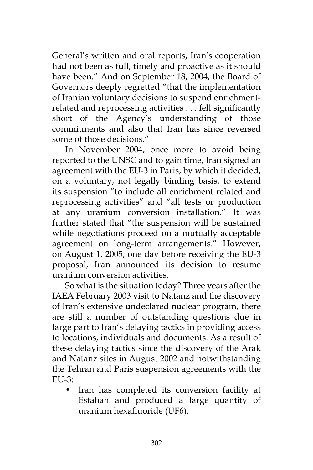General's written and oral reports, Iran's cooperation had not been as full, timely and proactive as it should have been." And on September 18, 2004, the Board of Governors deeply regretted "that the implementation of Iranian voluntary decisions to suspend enrichmentrelated and reprocessing activities . . . fell significantly short of the Agency's understanding of those commitments and also that Iran has since reversed some of those decisions."

In November 2004, once more to avoid being reported to the UNSC and to gain time, Iran signed an agreement with the EU-3 in Paris, by which it decided, on a voluntary, not legally binding basis, to extend its suspension "to include all enrichment related and reprocessing activities" and "all tests or production at any uranium conversion installation." It was further stated that "the suspension will be sustained while negotiations proceed on a mutually acceptable agreement on long-term arrangements." However, on August 1, 2005, one day before receiving the EU-3 proposal, Iran announced its decision to resume uranium conversion activities.

So what is the situation today? Three years after the IAEA February 2003 visit to Natanz and the discovery of Iran's extensive undeclared nuclear program, there are still a number of outstanding questions due in large part to Iran's delaying tactics in providing access to locations, individuals and documents. As a result of these delaying tactics since the discovery of the Arak and Natanz sites in August 2002 and notwithstanding the Tehran and Paris suspension agreements with the  $EUL3:$ 

• Iran has completed its conversion facility at Esfahan and produced a large quantity of uranium hexafluoride (UF6).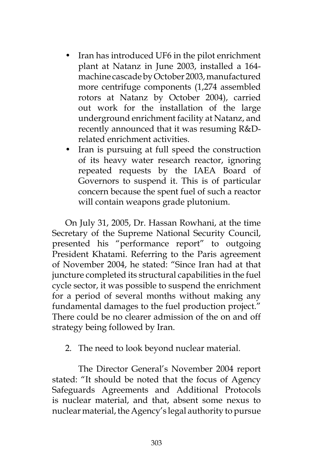- Iran has introduced UF6 in the pilot enrichment plant at Natanz in June 2003, installed a 164 machine cascade by October 2003, manufactured more centrifuge components (1,274 assembled rotors at Natanz by October 2004), carried out work for the installation of the large underground enrichment facility at Natanz, and recently announced that it was resuming R&Drelated enrichment activities.
- Iran is pursuing at full speed the construction of its heavy water research reactor, ignoring repeated requests by the IAEA Board of Governors to suspend it. This is of particular concern because the spent fuel of such a reactor will contain weapons grade plutonium.

On July 31, 2005, Dr. Hassan Rowhani, at the time Secretary of the Supreme National Security Council, presented his "performance report" to outgoing President Khatami. Referring to the Paris agreement of November 2004, he stated: "Since Iran had at that juncture completed its structural capabilities in the fuel cycle sector, it was possible to suspend the enrichment for a period of several months without making any fundamental damages to the fuel production project." There could be no clearer admission of the on and off strategy being followed by Iran.

2. The need to look beyond nuclear material.

 The Director General's November 2004 report stated: "It should be noted that the focus of Agency Safeguards Agreements and Additional Protocols is nuclear material, and that, absent some nexus to nuclear material, the Agency's legal authority to pursue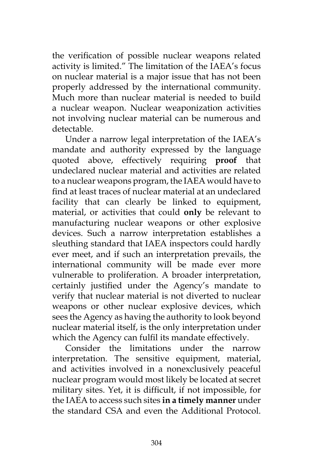the verification of possible nuclear weapons related activity is limited." The limitation of the IAEA's focus on nuclear material is a major issue that has not been properly addressed by the international community. Much more than nuclear material is needed to build a nuclear weapon. Nuclear weaponization activities not involving nuclear material can be numerous and detectable.

Under a narrow legal interpretation of the IAEA's mandate and authority expressed by the language quoted above, effectively requiring **proof** that undeclared nuclear material and activities are related to a nuclear weapons program, the IAEA would have to find at least traces of nuclear material at an undeclared facility that can clearly be linked to equipment, material, or activities that could **only** be relevant to manufacturing nuclear weapons or other explosive devices. Such a narrow interpretation establishes a sleuthing standard that IAEA inspectors could hardly ever meet, and if such an interpretation prevails, the international community will be made ever more vulnerable to proliferation. A broader interpretation, certainly justified under the Agency's mandate to verify that nuclear material is not diverted to nuclear weapons or other nuclear explosive devices, which sees the Agency as having the authority to look beyond nuclear material itself, is the only interpretation under which the Agency can fulfil its mandate effectively.

Consider the limitations under the narrow interpretation. The sensitive equipment, material, and activities involved in a nonexclusively peaceful nuclear program would most likely be located at secret military sites. Yet, it is difficult, if not impossible, for the IAEA to access such sites **in a timely manner** under the standard CSA and even the Additional Protocol.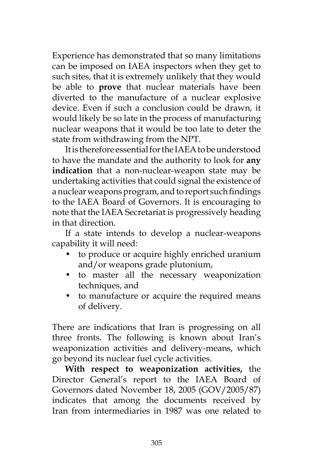Experience has demonstrated that so many limitations can be imposed on IAEA inspectors when they get to such sites, that it is extremely unlikely that they would be able to **prove** that nuclear materials have been diverted to the manufacture of a nuclear explosive device. Even if such a conclusion could be drawn, it would likely be so late in the process of manufacturing nuclear weapons that it would be too late to deter the state from withdrawing from the NPT.

It is therefore essential for the IAEA to be understood to have the mandate and the authority to look for **any indication** that a non-nuclear-weapon state may be undertaking activities that could signal the existence of a nuclear weapons program, and to report such findings to the IAEA Board of Governors. It is encouraging to note that the IAEA Secretariat is progressively heading in that direction.

If a state intends to develop a nuclear-weapons capability it will need:

- to produce or acquire highly enriched uranium and/or weapons grade plutonium,
- to master all the necessary weaponization techniques, and
- to manufacture or acquire the required means of delivery.

There are indications that Iran is progressing on all three fronts. The following is known about Iran's weaponization activities and delivery-means, which go beyond its nuclear fuel cycle activities.

**With respect to weaponization activities,** the Director General's report to the IAEA Board of Governors dated November 18, 2005 (GOV/2005/87) indicates that among the documents received by Iran from intermediaries in 1987 was one related to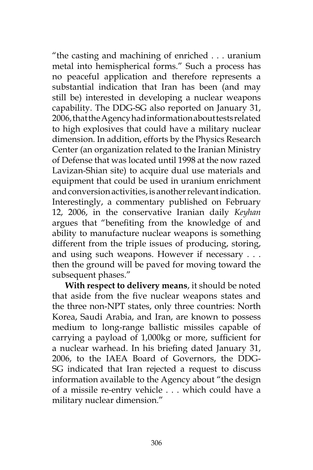"the casting and machining of enriched . . . uranium metal into hemispherical forms." Such a process has no peaceful application and therefore represents a substantial indication that Iran has been (and may still be) interested in developing a nuclear weapons capability. The DDG-SG also reported on January 31, 2006, that the Agency had information about tests related to high explosives that could have a military nuclear dimension. In addition, efforts by the Physics Research Center (an organization related to the Iranian Ministry of Defense that was located until 1998 at the now razed Lavizan-Shian site) to acquire dual use materials and equipment that could be used in uranium enrichment and conversion activities, is another relevant indication. Interestingly, a commentary published on February 12, 2006, in the conservative Iranian daily *Keyhan* argues that "benefiting from the knowledge of and ability to manufacture nuclear weapons is something different from the triple issues of producing, storing, and using such weapons. However if necessary . . . then the ground will be paved for moving toward the subsequent phases."

**With respect to delivery means**, it should be noted that aside from the five nuclear weapons states and the three non-NPT states, only three countries: North Korea, Saudi Arabia, and Iran, are known to possess medium to long-range ballistic missiles capable of carrying a payload of 1,000kg or more, sufficient for a nuclear warhead. In his briefing dated January 31, 2006, to the IAEA Board of Governors, the DDG-SG indicated that Iran rejected a request to discuss information available to the Agency about "the design of a missile re-entry vehicle . . . which could have a military nuclear dimension."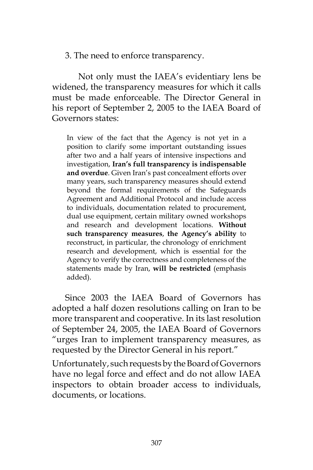3. The need to enforce transparency.

 Not only must the IAEA's evidentiary lens be widened, the transparency measures for which it calls must be made enforceable. The Director General in his report of September 2, 2005 to the IAEA Board of Governors states:

In view of the fact that the Agency is not yet in a position to clarify some important outstanding issues after two and a half years of intensive inspections and investigation, **Iran's full transparency is indispensable and overdue**. Given Iran's past concealment efforts over many years, such transparency measures should extend beyond the formal requirements of the Safeguards Agreement and Additional Protocol and include access to individuals, documentation related to procurement, dual use equipment, certain military owned workshops and research and development locations. **Without such transparency measures**, **the Agency's ability** to reconstruct, in particular, the chronology of enrichment research and development, which is essential for the Agency to verify the correctness and completeness of the statements made by Iran, **will be restricted** (emphasis added).

Since 2003 the IAEA Board of Governors has adopted a half dozen resolutions calling on Iran to be more transparent and cooperative. In its last resolution of September 24, 2005, the IAEA Board of Governors "urges Iran to implement transparency measures, as requested by the Director General in his report."

Unfortunately, such requests by the Board of Governors have no legal force and effect and do not allow IAEA inspectors to obtain broader access to individuals, documents, or locations.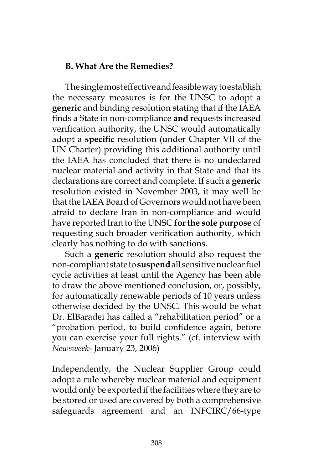# **B. What Are the Remedies?**

The single most effective and feasible way to establish the necessary measures is for the UNSC to adopt a **generic** and binding resolution stating that if the IAEA finds a State in non-compliance **and** requests increased verification authority, the UNSC would automatically adopt a **specific** resolution (under Chapter VII of the UN Charter) providing this additional authority until the IAEA has concluded that there is no undeclared nuclear material and activity in that State and that its declarations are correct and complete. If such a **generic** resolution existed in November 2003, it may well be that the IAEA Board of Governors would not have been afraid to declare Iran in non-compliance and would have reported Iran to the UNSC **for the sole purpose** of requesting such broader verification authority, which clearly has nothing to do with sanctions.

Such a **generic** resolution should also request the non-compliant state to **suspend** all sensitive nuclear fuel cycle activities at least until the Agency has been able to draw the above mentioned conclusion, or, possibly, for automatically renewable periods of 10 years unless otherwise decided by the UNSC. This would be what Dr. ElBaradei has called a "rehabilitation period" or a "probation period, to build confidence again, before you can exercise your full rights." (cf. interview with *Newsweek*- January 23, 2006)

Independently, the Nuclear Supplier Group could adopt a rule whereby nuclear material and equipment would only be exported if the facilities where they are to be stored or used are covered by both a comprehensive safeguards agreement and an INFCIRC/66-type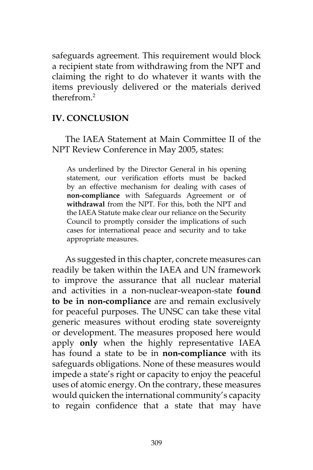safeguards agreement. This requirement would block a recipient state from withdrawing from the NPT and claiming the right to do whatever it wants with the items previously delivered or the materials derived therefrom<sup>2</sup>

## **IV. CONCLUSION**

The IAEA Statement at Main Committee II of the NPT Review Conference in May 2005, states:

As underlined by the Director General in his opening statement, our verification efforts must be backed by an effective mechanism for dealing with cases of **non-compliance** with Safeguards Agreement or of **withdrawal** from the NPT. For this, both the NPT and the IAEA Statute make clear our reliance on the Security Council to promptly consider the implications of such cases for international peace and security and to take appropriate measures.

As suggested in this chapter, concrete measures can readily be taken within the IAEA and UN framework to improve the assurance that all nuclear material and activities in a non-nuclear-weapon-state **found to be in non-compliance** are and remain exclusively for peaceful purposes. The UNSC can take these vital generic measures without eroding state sovereignty or development. The measures proposed here would apply **only** when the highly representative IAEA has found a state to be in **non-compliance** with its safeguards obligations. None of these measures would impede a state's right or capacity to enjoy the peaceful uses of atomic energy. On the contrary, these measures would quicken the international community's capacity to regain confidence that a state that may have